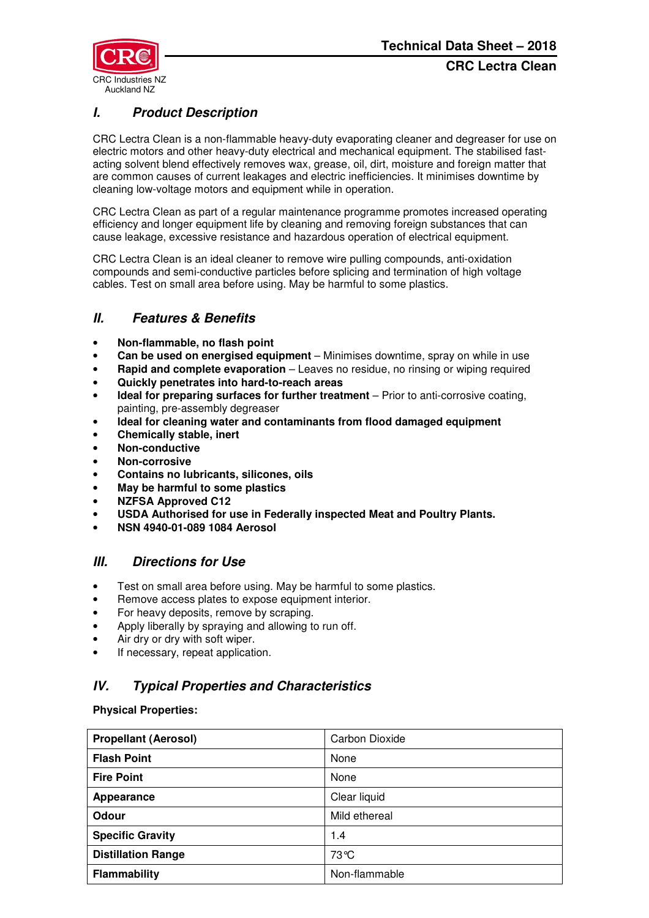

# **I. Product Description**

CRC Lectra Clean is a non-flammable heavy-duty evaporating cleaner and degreaser for use on electric motors and other heavy-duty electrical and mechanical equipment. The stabilised fastacting solvent blend effectively removes wax, grease, oil, dirt, moisture and foreign matter that are common causes of current leakages and electric inefficiencies. It minimises downtime by cleaning low-voltage motors and equipment while in operation.

CRC Lectra Clean as part of a regular maintenance programme promotes increased operating efficiency and longer equipment life by cleaning and removing foreign substances that can cause leakage, excessive resistance and hazardous operation of electrical equipment.

CRC Lectra Clean is an ideal cleaner to remove wire pulling compounds, anti-oxidation compounds and semi-conductive particles before splicing and termination of high voltage cables. Test on small area before using. May be harmful to some plastics.

## **II. Features & Benefits**

- **Non-flammable, no flash point**
- **Can be used on energised equipment** Minimises downtime, spray on while in use
- **Rapid and complete evaporation** Leaves no residue, no rinsing or wiping required
- **Quickly penetrates into hard-to-reach areas**
- **Ideal for preparing surfaces for further treatment** Prior to anti-corrosive coating, painting, pre-assembly degreaser
- **Ideal for cleaning water and contaminants from flood damaged equipment**
- **Chemically stable, inert**
- **Non-conductive**
- **Non-corrosive**
- **Contains no lubricants, silicones, oils**
- **May be harmful to some plastics**
- **NZFSA Approved C12**
- **USDA Authorised for use in Federally inspected Meat and Poultry Plants.**
- **NSN 4940-01-089 1084 Aerosol**

## **III. Directions for Use**

- Test on small area before using. May be harmful to some plastics.
- Remove access plates to expose equipment interior.
- For heavy deposits, remove by scraping.
- Apply liberally by spraying and allowing to run off.
- Air dry or dry with soft wiper.
- If necessary, repeat application.

## **IV. Typical Properties and Characteristics**

**Physical Properties:** 

| <b>Propellant (Aerosol)</b> | Carbon Dioxide |
|-----------------------------|----------------|
| <b>Flash Point</b>          | None           |
| <b>Fire Point</b>           | None           |
| Appearance                  | Clear liquid   |
| Odour                       | Mild ethereal  |
| <b>Specific Gravity</b>     | 1.4            |
| <b>Distillation Range</b>   | 73℃            |
| Flammability                | Non-flammable  |